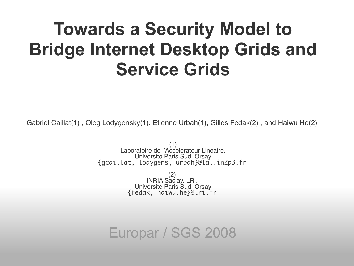#### **Towards a Security Model to Bridge Internet Desktop Grids and Service Grids**

Gabriel Caillat(1) , Oleg Lodygensky(1), Etienne Urbah(1), Gilles Fedak(2) , and Haiwu He(2)

(1) Laboratoire de l'Accelerateur Lineaire, Universite Paris Sud, Orsay {gcaillat, lodygens, urbah}@lal.in2p3.fr

> (2) INRIA Saclay, LRI, Universite Paris Sud, Orsay {fedak, haiwu.he}@lri.fr

Europar / SGS 2008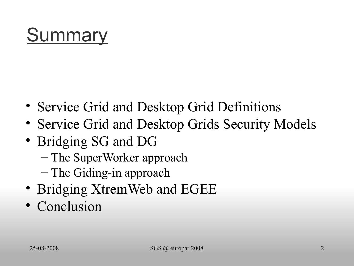# **Summary**

- Service Grid and Desktop Grid Definitions
- Service Grid and Desktop Grids Security Models
- Bridging SG and DG
	- The SuperWorker approach
	- The Giding-in approach
- Bridging XtremWeb and EGEE
- Conclusion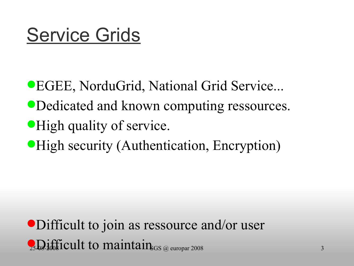#### Service Grids

EGEE, NorduGrid, National Grid Service...

- Dedicated and known computing ressources.
- **High quality of service.**
- **High security (Authentication, Encryption)**

 $\Omega$ <sub>25</sub>D<sub>2</sub> ifficult to maintain<sub>s GS</sub> @ europar 2008 Difficult to join as ressource and/or user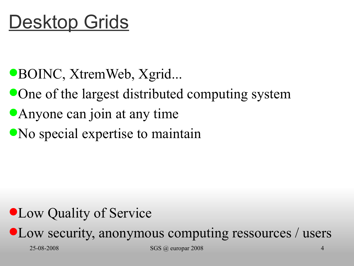- BOINC, XtremWeb, Xgrid...
- One of the largest distributed computing system
- Anyone can join at any time
- No special expertise to maintain

#### Low Quality of Service

Low security, anonymous computing ressources / users

25-08-2008 SGS @ europar 2008 4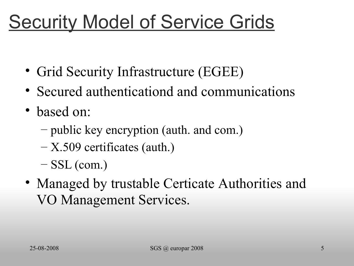#### **Security Model of Service Grids**

- Grid Security Infrastructure (EGEE)
- Secured authenticationd and communications
- based on:
	- public key encryption (auth. and com.)
	- X.509 certificates (auth.)
	- $-$  SSL (com.)
- Managed by trustable Certicate Authorities and VO Management Services.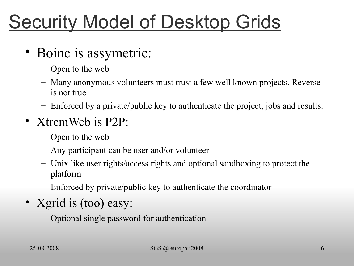# **Security Model of Desktop Grids**

- Boinc is assymetric:
	- Open to the web
	- Many anonymous volunteers must trust a few well known projects. Reverse is not true
	- Enforced by a private/public key to authenticate the project, jobs and results.
- XtremWeb is P2P:
	- Open to the web
	- Any participant can be user and/or volunteer
	- Unix like user rights/access rights and optional sandboxing to protect the platform
	- Enforced by private/public key to authenticate the coordinator
- Xgrid is (too) easy:
	- Optional single password for authentication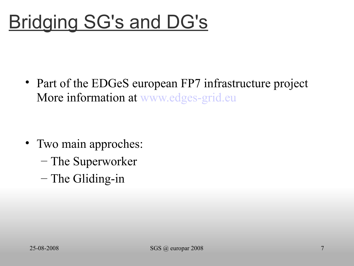## Bridging SG's and DG's

• Part of the EDGeS european FP7 infrastructure project More information at [www.edges-grid.eu](http://www.edges-grid.eu/)

- Two main approches:
	- The Superworker
	- The Gliding-in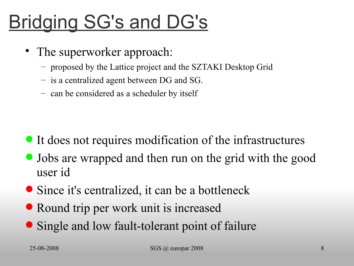# Bridging SG's and DG's

- The superworker approach:
	- proposed by the Lattice project and the SZTAKI Desktop Grid
	- is a centralized agent between DG and SG.
	- can be considered as a scheduler by itself

- It does not requires modification of the infrastructures
- Jobs are wrapped and then run on the grid with the good user id
- Since it's centralized, it can be a bottleneck
- Round trip per work unit is increased
- Single and low fault-tolerant point of failure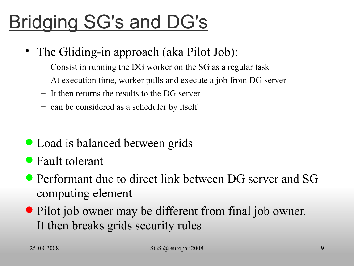# Bridging SG's and DG's

- The Gliding-in approach (aka Pilot Job):
	- Consist in running the DG worker on the SG as a regular task
	- At execution time, worker pulls and execute a job from DG server
	- It then returns the results to the DG server
	- can be considered as a scheduler by itself
- Load is balanced between grids
- Fault tolerant
- Performant due to direct link between DG server and SG computing element
- Pilot job owner may be different from final job owner. It then breaks grids security rules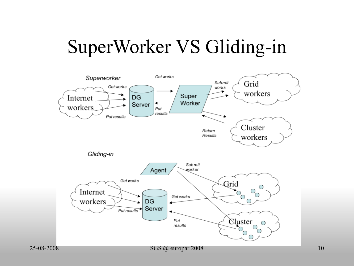#### SuperWorker VS Gliding-in

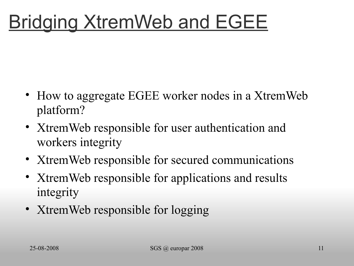- How to aggregate EGEE worker nodes in a XtremWeb platform?
- XtremWeb responsible for user authentication and workers integrity
- XtremWeb responsible for secured communications
- XtremWeb responsible for applications and results integrity
- XtremWeb responsible for logging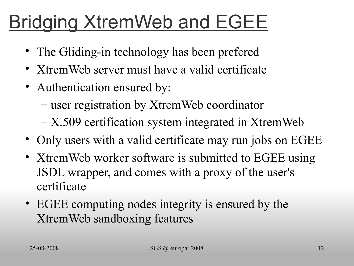- The Gliding-in technology has been prefered
- XtremWeb server must have a valid certificate
- Authentication ensured by:
	- user registration by XtremWeb coordinator
	- X.509 certification system integrated in XtremWeb
- Only users with a valid certificate may run jobs on EGEE
- XtremWeb worker software is submitted to EGEE using JSDL wrapper, and comes with a proxy of the user's certificate
- EGEE computing nodes integrity is ensured by the XtremWeb sandboxing features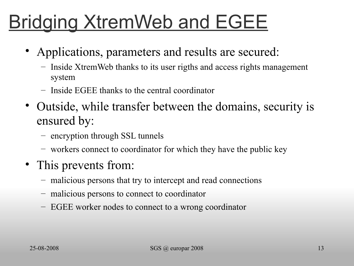- Applications, parameters and results are secured:
	- Inside XtremWeb thanks to its user rigths and access rights management system
	- Inside EGEE thanks to the central coordinator
- Outside, while transfer between the domains, security is ensured by:
	- encryption through SSL tunnels
	- workers connect to coordinator for which they have the public key
- This prevents from:
	- malicious persons that try to intercept and read connections
	- malicious persons to connect to coordinator
	- EGEE worker nodes to connect to a wrong coordinator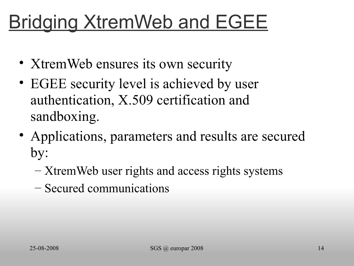- XtremWeb ensures its own security
- EGEE security level is achieved by user authentication, X.509 certification and sandboxing.
- Applications, parameters and results are secured by:
	- XtremWeb user rights and access rights systems
	- Secured communications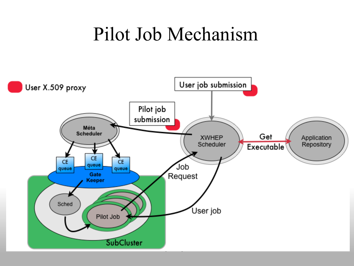#### Pilot Job Mechanism

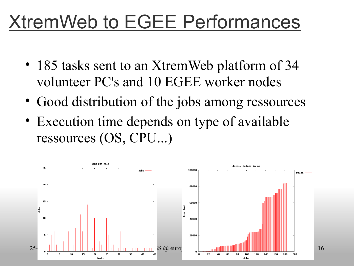#### XtremWeb to EGEE Performances

- 185 tasks sent to an XtremWeb platform of 34 volunteer PC's and 10 EGEE worker nodes
- Good distribution of the jobs among ressources
- Execution time depends on type of available ressources (OS, CPU...)

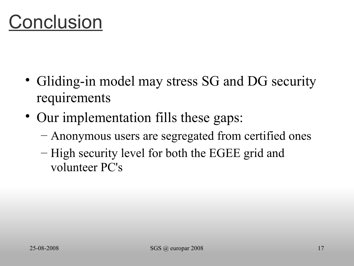#### **Conclusion**

- Gliding-in model may stress SG and DG security requirements
- Our implementation fills these gaps:
	- Anonymous users are segregated from certified ones
	- High security level for both the EGEE grid and volunteer PC's